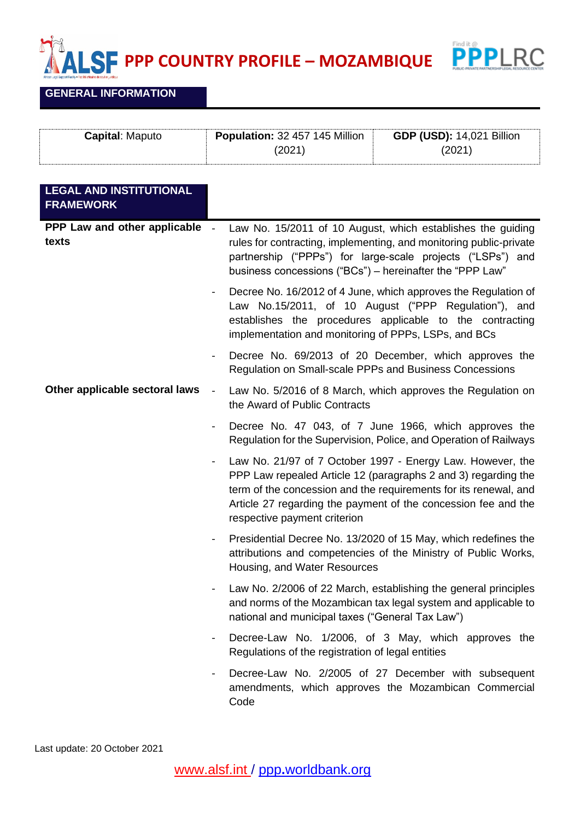**PPP COUNTRY PROFILE – MOZAMBIQUE**



## **GENERAL INFORMATION**

٢

| <b>Capital: Maputo</b> | <b>Population: 32 457 145 Million</b> | <b>GDP (USD): 14,021 Billion</b> |
|------------------------|---------------------------------------|----------------------------------|
|                        | 2021                                  | 2021)                            |
|                        |                                       |                                  |

| <b>LEGAL AND INSTITUTIONAL</b><br><b>FRAMEWORK</b> |                          |                                                                                                                                                                                                                                                                                                    |
|----------------------------------------------------|--------------------------|----------------------------------------------------------------------------------------------------------------------------------------------------------------------------------------------------------------------------------------------------------------------------------------------------|
| PPP Law and other applicable -<br>texts            |                          | Law No. 15/2011 of 10 August, which establishes the guiding<br>rules for contracting, implementing, and monitoring public-private<br>partnership ("PPPs") for large-scale projects ("LSPs") and<br>business concessions ("BCs") – hereinafter the "PPP Law"                                        |
|                                                    | $\blacksquare$           | Decree No. 16/2012 of 4 June, which approves the Regulation of<br>Law No.15/2011, of 10 August ("PPP Regulation"), and<br>establishes the procedures applicable to the contracting<br>implementation and monitoring of PPPs, LSPs, and BCs                                                         |
|                                                    | $\blacksquare$           | Decree No. 69/2013 of 20 December, which approves the<br>Regulation on Small-scale PPPs and Business Concessions                                                                                                                                                                                   |
| Other applicable sectoral laws                     | $\blacksquare$           | Law No. 5/2016 of 8 March, which approves the Regulation on<br>the Award of Public Contracts                                                                                                                                                                                                       |
|                                                    | $\overline{\phantom{a}}$ | Decree No. 47 043, of 7 June 1966, which approves the<br>Regulation for the Supervision, Police, and Operation of Railways                                                                                                                                                                         |
|                                                    | $\blacksquare$           | Law No. 21/97 of 7 October 1997 - Energy Law. However, the<br>PPP Law repealed Article 12 (paragraphs 2 and 3) regarding the<br>term of the concession and the requirements for its renewal, and<br>Article 27 regarding the payment of the concession fee and the<br>respective payment criterion |
|                                                    | $\blacksquare$           | Presidential Decree No. 13/2020 of 15 May, which redefines the<br>attributions and competencies of the Ministry of Public Works,<br>Housing, and Water Resources                                                                                                                                   |
|                                                    | $\blacksquare$           | Law No. 2/2006 of 22 March, establishing the general principles<br>and norms of the Mozambican tax legal system and applicable to<br>national and municipal taxes ("General Tax Law")                                                                                                              |
|                                                    |                          | Decree-Law No. 1/2006, of 3 May, which approves the<br>Regulations of the registration of legal entities                                                                                                                                                                                           |
|                                                    |                          | Decree-Law No. 2/2005 of 27 December with subsequent<br>amendments, which approves the Mozambican Commercial<br>Code                                                                                                                                                                               |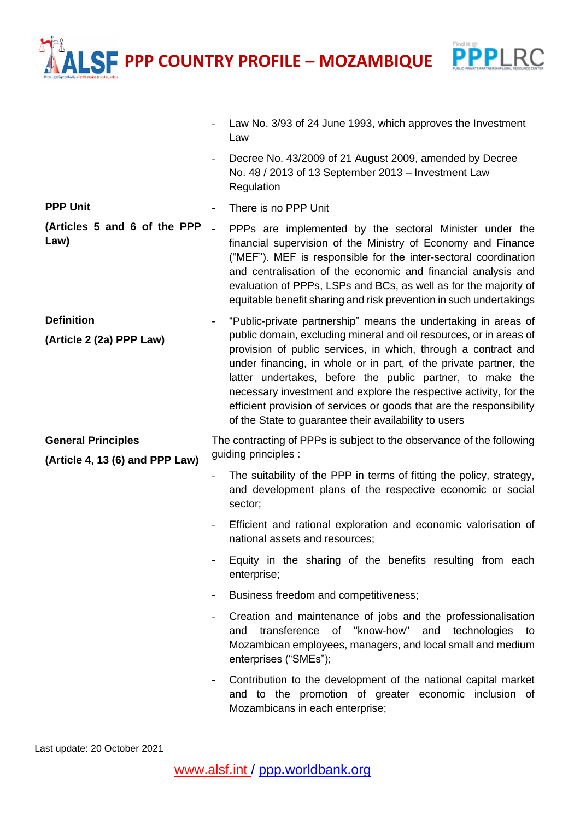**PPP COUNTRY PROFILE – MOZAMBIQUE**

**PPPLRC** 

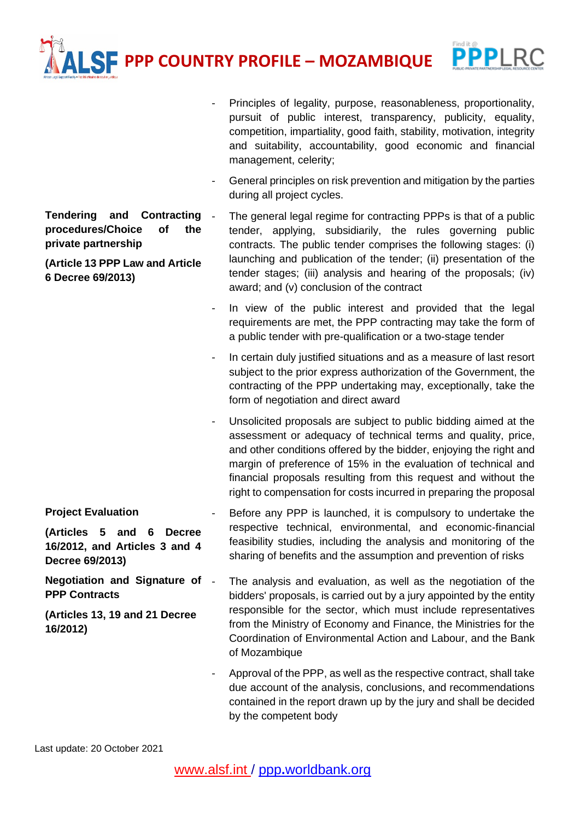**PPP COUNTRY PROFILE – MOZAMBIQUE**



**Tendering and Contracting procedures/Choice of the private partnership** 

**(Article 13 PPP Law and Article 6 Decree 69/2013)**

- Principles of legality, purpose, reasonableness, proportionality, pursuit of public interest, transparency, publicity, equality, competition, impartiality, good faith, stability, motivation, integrity and suitability, accountability, good economic and financial management, celerity;
- General principles on risk prevention and mitigation by the parties during all project cycles.
- The general legal regime for contracting PPPs is that of a public tender, applying, subsidiarily, the rules governing public contracts. The public tender comprises the following stages: (i) launching and publication of the tender; (ii) presentation of the tender stages; (iii) analysis and hearing of the proposals; (iv) award; and (v) conclusion of the contract
- In view of the public interest and provided that the legal requirements are met, the PPP contracting may take the form of a public tender with pre-qualification or a two-stage tender
- In certain duly justified situations and as a measure of last resort subject to the prior express authorization of the Government, the contracting of the PPP undertaking may, exceptionally, take the form of negotiation and direct award
- Unsolicited proposals are subject to public bidding aimed at the assessment or adequacy of technical terms and quality, price, and other conditions offered by the bidder, enjoying the right and margin of preference of 15% in the evaluation of technical and financial proposals resulting from this request and without the right to compensation for costs incurred in preparing the proposal
- **(Articles 5 and 6 Decree 16/2012, and Articles 3 and 4**  Before any PPP is launched, it is compulsory to undertake the respective technical, environmental, and economic-financial feasibility studies, including the analysis and monitoring of the sharing of benefits and the assumption and prevention of risks
- **Negotiation and Signature of (Articles 13, 19 and 21 Decree**  The analysis and evaluation, as well as the negotiation of the bidders' proposals, is carried out by a jury appointed by the entity responsible for the sector, which must include representatives from the Ministry of Economy and Finance, the Ministries for the Coordination of Environmental Action and Labour, and the Bank of Mozambique
	- Approval of the PPP, as well as the respective contract, shall take due account of the analysis, conclusions, and recommendations contained in the report drawn up by the jury and shall be decided by the competent body

**Project Evaluation**

**Decree 69/2013)**

**PPP Contracts**

**16/2012)**

Last update: 20 October 2021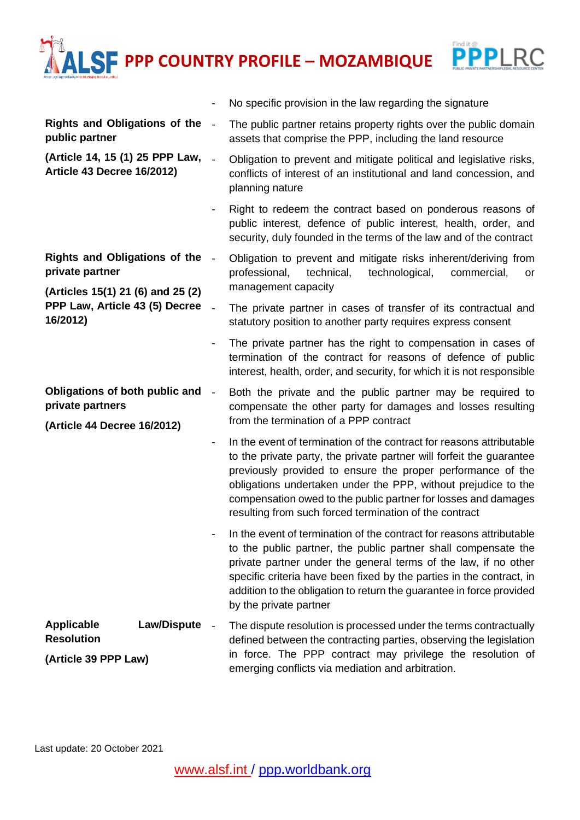**PROFILE** – **MOZAMBIQUE** 

- No specific provision in the law regarding the signature



| Rights and Obligations of the -<br>public partner                                    |                | The public partner retains property rights over the public domain<br>assets that comprise the PPP, including the land resource                                                                                                                                                                                                                                                                            |
|--------------------------------------------------------------------------------------|----------------|-----------------------------------------------------------------------------------------------------------------------------------------------------------------------------------------------------------------------------------------------------------------------------------------------------------------------------------------------------------------------------------------------------------|
| (Article 14, 15 (1) 25 PPP Law,<br><b>Article 43 Decree 16/2012)</b>                 |                | Obligation to prevent and mitigate political and legislative risks,<br>conflicts of interest of an institutional and land concession, and<br>planning nature                                                                                                                                                                                                                                              |
|                                                                                      |                | Right to redeem the contract based on ponderous reasons of<br>public interest, defence of public interest, health, order, and<br>security, duly founded in the terms of the law and of the contract                                                                                                                                                                                                       |
| <b>Rights and Obligations of the</b><br>private partner                              | $\blacksquare$ | Obligation to prevent and mitigate risks inherent/deriving from<br>technical,<br>professional,<br>technological,<br>commercial,<br>or<br>management capacity                                                                                                                                                                                                                                              |
| (Articles 15(1) 21 (6) and 25 (2)<br>PPP Law, Article 43 (5) Decree<br>16/2012)      |                | The private partner in cases of transfer of its contractual and<br>statutory position to another party requires express consent                                                                                                                                                                                                                                                                           |
|                                                                                      |                | The private partner has the right to compensation in cases of<br>termination of the contract for reasons of defence of public<br>interest, health, order, and security, for which it is not responsible                                                                                                                                                                                                   |
| Obligations of both public and<br>private partners<br>(Article 44 Decree 16/2012)    | $\blacksquare$ | Both the private and the public partner may be required to<br>compensate the other party for damages and losses resulting<br>from the termination of a PPP contract                                                                                                                                                                                                                                       |
|                                                                                      |                | In the event of termination of the contract for reasons attributable<br>to the private party, the private partner will forfeit the guarantee<br>previously provided to ensure the proper performance of the<br>obligations undertaken under the PPP, without prejudice to the<br>compensation owed to the public partner for losses and damages<br>resulting from such forced termination of the contract |
|                                                                                      |                | In the event of termination of the contract for reasons attributable<br>to the public partner, the public partner shall compensate the<br>private partner under the general terms of the law, if no other<br>specific criteria have been fixed by the parties in the contract, in<br>addition to the obligation to return the guarantee in force provided<br>by the private partner                       |
| <b>Law/Dispute</b><br><b>Applicable</b><br><b>Resolution</b><br>(Article 39 PPP Law) |                | The dispute resolution is processed under the terms contractually<br>defined between the contracting parties, observing the legislation<br>in force. The PPP contract may privilege the resolution of<br>emerging conflicts via mediation and arbitration.                                                                                                                                                |